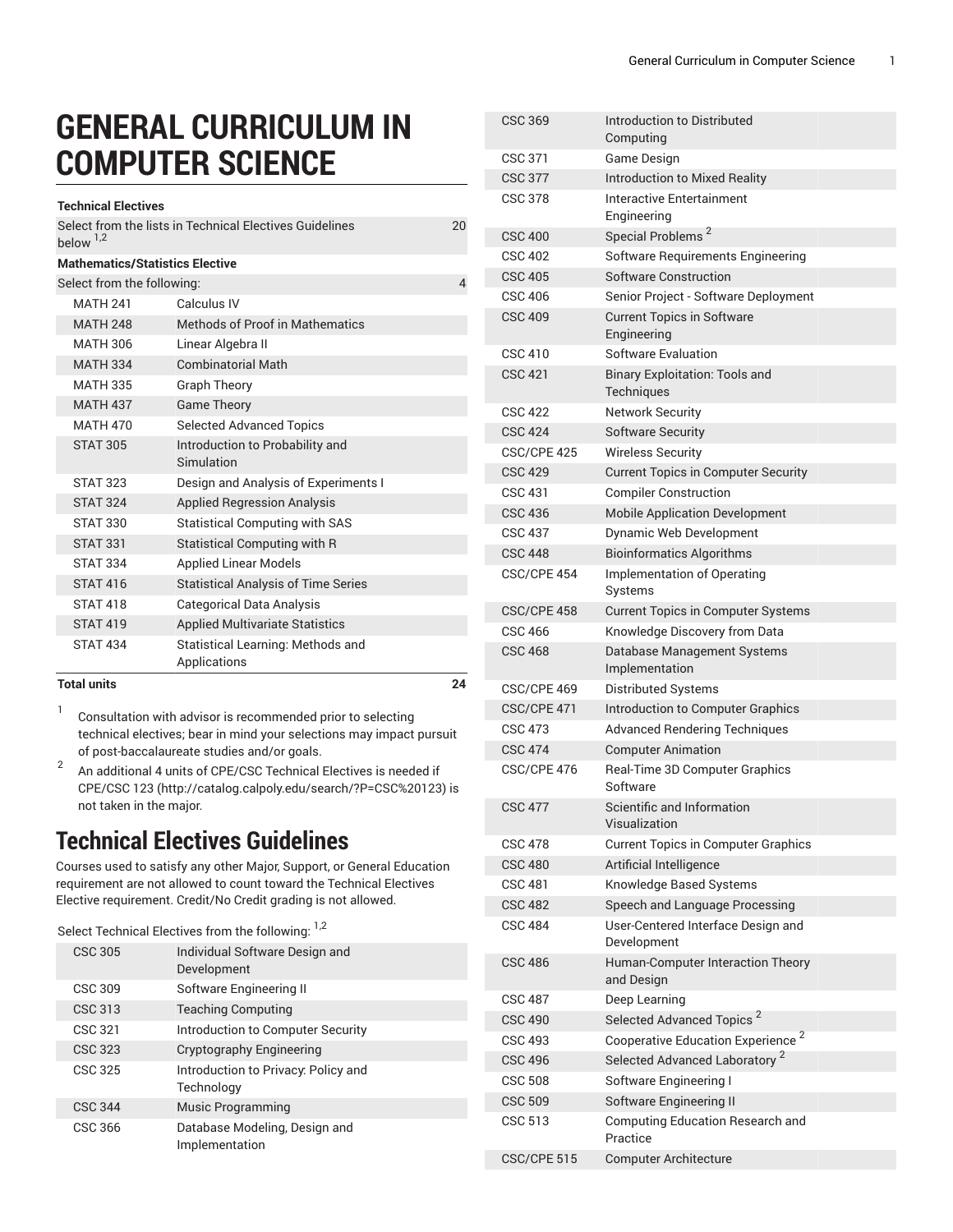## **GENERAL CURRICULUM IN COMPUTER SCIENCE**

| Select from the lists in Technical Electives Guidelines<br>below <sup>1,2</sup> | 20             |
|---------------------------------------------------------------------------------|----------------|
| <b>Mathematics/Statistics Elective</b>                                          |                |
| Select from the following:                                                      | $\overline{4}$ |
| Calculus IV<br><b>MATH 241</b>                                                  |                |
| <b>MATH 248</b><br>Methods of Proof in Mathematics                              |                |
| MATH 306<br>Linear Algebra II                                                   |                |
| <b>Combinatorial Math</b><br><b>MATH 334</b>                                    |                |
| <b>MATH 335</b><br><b>Graph Theory</b>                                          |                |
| <b>MATH 437</b><br><b>Game Theory</b>                                           |                |
| <b>Selected Advanced Topics</b><br><b>MATH 470</b>                              |                |
| <b>STAT 305</b><br>Introduction to Probability and                              |                |
| Simulation                                                                      |                |
| <b>STAT 323</b><br>Design and Analysis of Experiments I                         |                |
| <b>Applied Regression Analysis</b><br><b>STAT 324</b>                           |                |
| <b>STAT 330</b><br><b>Statistical Computing with SAS</b>                        |                |
| <b>STAT 331</b><br><b>Statistical Computing with R</b>                          |                |
| <b>STAT 334</b><br><b>Applied Linear Models</b>                                 |                |
| <b>STAT 416</b><br><b>Statistical Analysis of Time Series</b>                   |                |
| <b>STAT 418</b><br>Categorical Data Analysis                                    |                |
| <b>Applied Multivariate Statistics</b><br><b>STAT 419</b>                       |                |
| <b>STAT 434</b><br><b>Statistical Learning: Methods and</b>                     |                |
| Applications<br><b>Total units</b>                                              | 24             |

1 Consultation with advisor is recommended prior to selecting technical electives; bear in mind your selections may impact pursuit of post-baccalaureate studies and/or goals.

2 An additional 4 units of CPE/CSC Technical Electives is needed if CPE[/CSC 123](http://catalog.calpoly.edu/search/?P=CSC%20123) (<http://catalog.calpoly.edu/search/?P=CSC%20123>) is not taken in the major.

## **Technical Electives Guidelines**

Courses used to satisfy any other Major, Support, or General Education requirement are not allowed to count toward the Technical Electives Elective requirement. Credit/No Credit grading is not allowed.

Select Technical Electives from the following: <sup>1,2</sup>

| CSC 305        | Individual Software Design and<br>Development     |
|----------------|---------------------------------------------------|
| CSC 309        | Software Engineering II                           |
| CSC 313        | <b>Teaching Computing</b>                         |
| CSC 321        | Introduction to Computer Security                 |
| CSC 323        | Cryptography Engineering                          |
| CSC 325        | Introduction to Privacy: Policy and<br>Technology |
| <b>CSC 344</b> | <b>Music Programming</b>                          |
| CSC 366        | Database Modeling, Design and<br>Implementation   |

| <b>CSC 369</b> | Introduction to Distributed<br>Computing            |
|----------------|-----------------------------------------------------|
| <b>CSC 371</b> | Game Design                                         |
| <b>CSC 377</b> | <b>Introduction to Mixed Reality</b>                |
| <b>CSC 378</b> | Interactive Entertainment<br>Engineering            |
| <b>CSC 400</b> | Special Problems <sup>2</sup>                       |
| <b>CSC 402</b> | Software Requirements Engineering                   |
| <b>CSC 405</b> | Software Construction                               |
| <b>CSC 406</b> | Senior Project - Software Deployment                |
| <b>CSC 409</b> | <b>Current Topics in Software</b><br>Engineering    |
| CSC 410        | Software Evaluation                                 |
| <b>CSC 421</b> | <b>Binary Exploitation: Tools and</b><br>Techniques |
| <b>CSC 422</b> | <b>Network Security</b>                             |
| <b>CSC 424</b> | <b>Software Security</b>                            |
| CSC/CPE 425    | <b>Wireless Security</b>                            |
| <b>CSC 429</b> | <b>Current Topics in Computer Security</b>          |
| <b>CSC 431</b> | <b>Compiler Construction</b>                        |
| <b>CSC 436</b> | <b>Mobile Application Development</b>               |
| <b>CSC 437</b> | <b>Dynamic Web Development</b>                      |
| <b>CSC 448</b> | <b>Bioinformatics Algorithms</b>                    |
| CSC/CPE 454    | Implementation of Operating<br>Systems              |
| CSC/CPE 458    | <b>Current Topics in Computer Systems</b>           |
| CSC 466        | Knowledge Discovery from Data                       |
| <b>CSC 468</b> | Database Management Systems<br>Implementation       |
| CSC/CPE 469    | Distributed Systems                                 |
| CSC/CPE 471    | Introduction to Computer Graphics                   |
| <b>CSC 473</b> | <b>Advanced Rendering Techniques</b>                |
| <b>CSC 474</b> | <b>Computer Animation</b>                           |
| CSC/CPE 476    | Real-Time 3D Computer Graphics<br>Software          |
| <b>CSC 477</b> | Scientific and Information<br>Visualization         |
| CSC 478        | <b>Current Topics in Computer Graphics</b>          |
| <b>CSC 480</b> | Artificial Intelligence                             |
| CSC 481        | Knowledge Based Systems                             |
| <b>CSC 482</b> | Speech and Language Processing                      |
| <b>CSC 484</b> | User-Centered Interface Design and<br>Development   |
| <b>CSC 486</b> | Human-Computer Interaction Theory<br>and Design     |
| <b>CSC 487</b> | Deep Learning                                       |
| <b>CSC 490</b> | Selected Advanced Topics <sup>2</sup>               |
| <b>CSC 493</b> | Cooperative Education Experience <sup>2</sup>       |
| <b>CSC 496</b> | Selected Advanced Laboratory <sup>2</sup>           |
| <b>CSC 508</b> | Software Engineering I                              |
| <b>CSC 509</b> | Software Engineering II                             |
| CSC 513        | Computing Education Research and<br>Practice        |
| CSC/CPE 515    | <b>Computer Architecture</b>                        |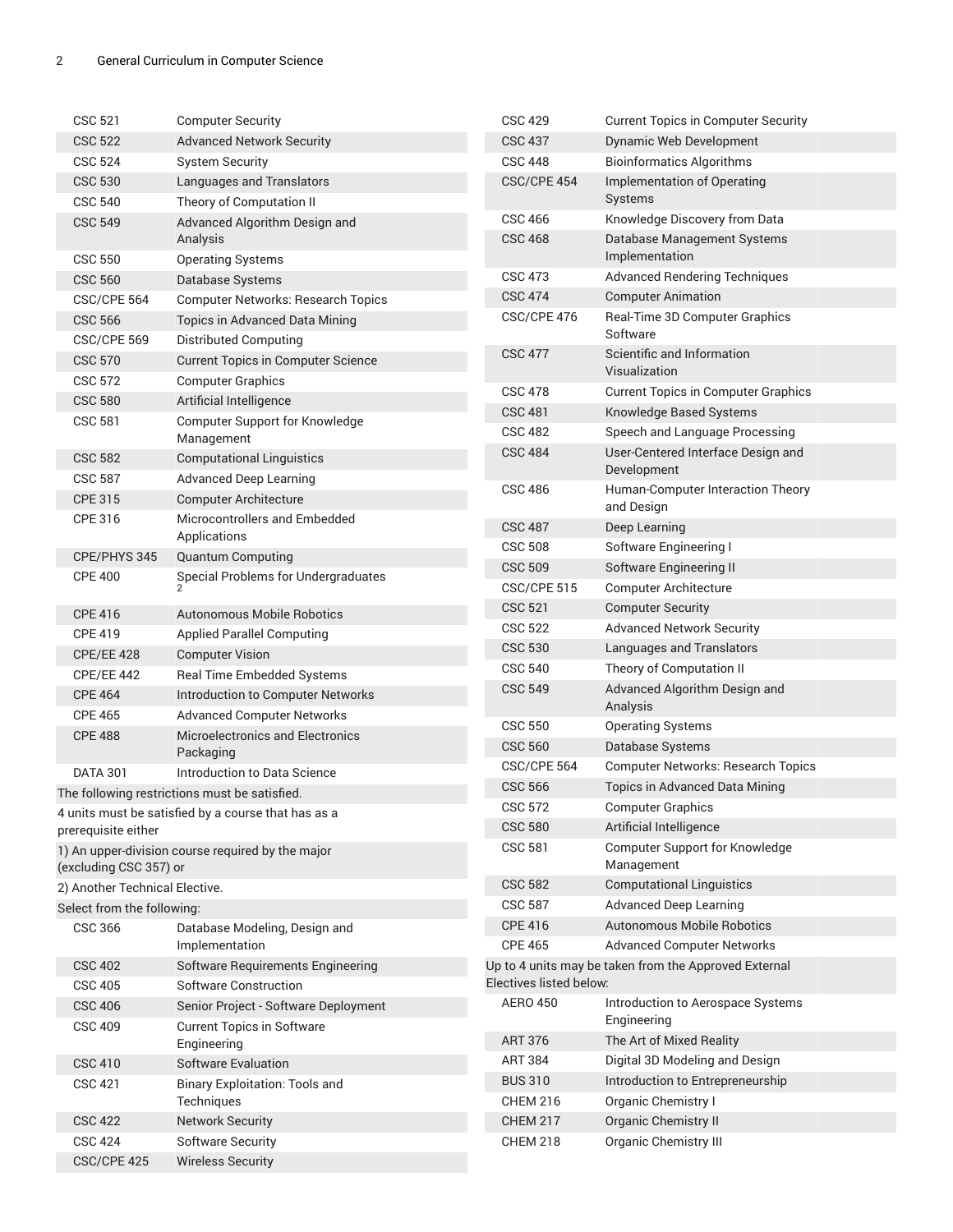| <b>CSC 521</b>                 | <b>Computer Security</b>                            | <b>CSC 429</b>          | <b>Current Topics in Computer Security</b>            |
|--------------------------------|-----------------------------------------------------|-------------------------|-------------------------------------------------------|
| <b>CSC 522</b>                 | <b>Advanced Network Security</b>                    | <b>CSC 437</b>          | Dynamic Web Development                               |
| <b>CSC 524</b>                 | <b>System Security</b>                              | <b>CSC 448</b>          | <b>Bioinformatics Algorithms</b>                      |
| <b>CSC 530</b>                 | Languages and Translators                           | CSC/CPE 454             | Implementation of Operating                           |
| <b>CSC 540</b>                 | Theory of Computation II                            |                         | Systems                                               |
| <b>CSC 549</b>                 | Advanced Algorithm Design and                       | <b>CSC 466</b>          | Knowledge Discovery from Data                         |
| <b>CSC 550</b>                 | Analysis<br><b>Operating Systems</b>                | <b>CSC 468</b>          | Database Management Systems<br>Implementation         |
| <b>CSC 560</b>                 | Database Systems                                    | <b>CSC 473</b>          | <b>Advanced Rendering Techniques</b>                  |
| CSC/CPE 564                    | <b>Computer Networks: Research Topics</b>           | <b>CSC 474</b>          | <b>Computer Animation</b>                             |
| <b>CSC 566</b>                 | Topics in Advanced Data Mining                      | CSC/CPE 476             | Real-Time 3D Computer Graphics                        |
| CSC/CPE 569                    | Distributed Computing                               |                         | Software                                              |
| <b>CSC 570</b>                 | <b>Current Topics in Computer Science</b>           | <b>CSC 477</b>          | Scientific and Information                            |
| <b>CSC 572</b>                 | <b>Computer Graphics</b>                            |                         | Visualization                                         |
| <b>CSC 580</b>                 |                                                     | <b>CSC 478</b>          | <b>Current Topics in Computer Graphics</b>            |
|                                | Artificial Intelligence                             | <b>CSC 481</b>          | Knowledge Based Systems                               |
| <b>CSC 581</b>                 | Computer Support for Knowledge<br>Management        | <b>CSC 482</b>          | Speech and Language Processing                        |
| <b>CSC 582</b>                 | <b>Computational Linguistics</b>                    | <b>CSC 484</b>          | User-Centered Interface Design and                    |
| <b>CSC 587</b>                 | <b>Advanced Deep Learning</b>                       |                         | Development                                           |
| <b>CPE 315</b>                 | <b>Computer Architecture</b>                        | <b>CSC 486</b>          | Human-Computer Interaction Theory                     |
| CPE 316                        | Microcontrollers and Embedded                       |                         | and Design                                            |
|                                | Applications                                        | <b>CSC 487</b>          | Deep Learning                                         |
| CPE/PHYS 345                   | <b>Quantum Computing</b>                            | <b>CSC 508</b>          | Software Engineering I                                |
| <b>CPE 400</b>                 | Special Problems for Undergraduates                 | <b>CSC 509</b>          | Software Engineering II                               |
|                                |                                                     | CSC/CPE 515             | <b>Computer Architecture</b>                          |
| <b>CPE 416</b>                 | <b>Autonomous Mobile Robotics</b>                   | <b>CSC 521</b>          | <b>Computer Security</b>                              |
| <b>CPE 419</b>                 | <b>Applied Parallel Computing</b>                   | <b>CSC 522</b>          | <b>Advanced Network Security</b>                      |
| <b>CPE/EE 428</b>              | <b>Computer Vision</b>                              | <b>CSC 530</b>          | Languages and Translators                             |
| CPE/EE 442                     | Real Time Embedded Systems                          | <b>CSC 540</b>          | Theory of Computation II                              |
| <b>CPE 464</b>                 | Introduction to Computer Networks                   | <b>CSC 549</b>          | Advanced Algorithm Design and                         |
| <b>CPE 465</b>                 | <b>Advanced Computer Networks</b>                   |                         | Analysis                                              |
| <b>CPE 488</b>                 | Microelectronics and Electronics<br>Packaging       | <b>CSC 550</b>          | <b>Operating Systems</b>                              |
|                                |                                                     | <b>CSC 560</b>          | Database Systems                                      |
| <b>DATA 301</b>                | Introduction to Data Science                        | CSC/CPE 564             | <b>Computer Networks: Research Topics</b>             |
|                                | The following restrictions must be satisfied.       | <b>CSC 566</b>          | Topics in Advanced Data Mining                        |
|                                | 4 units must be satisfied by a course that has as a | <b>CSC 572</b>          | <b>Computer Graphics</b>                              |
| prerequisite either            |                                                     | <b>CSC 580</b>          | Artificial Intelligence                               |
| (excluding CSC 357) or         | 1) An upper-division course required by the major   | <b>CSC 581</b>          | Computer Support for Knowledge<br>Management          |
| 2) Another Technical Elective. |                                                     | <b>CSC 582</b>          | <b>Computational Linguistics</b>                      |
| Select from the following:     |                                                     | <b>CSC 587</b>          | <b>Advanced Deep Learning</b>                         |
| <b>CSC 366</b>                 | Database Modeling, Design and                       | <b>CPE 416</b>          | <b>Autonomous Mobile Robotics</b>                     |
|                                | Implementation                                      | <b>CPE 465</b>          | <b>Advanced Computer Networks</b>                     |
| <b>CSC 402</b>                 | Software Requirements Engineering                   |                         | Up to 4 units may be taken from the Approved External |
| <b>CSC 405</b>                 | <b>Software Construction</b>                        | Electives listed below: |                                                       |
| <b>CSC 406</b>                 | Senior Project - Software Deployment                | <b>AERO 450</b>         | Introduction to Aerospace Systems                     |
| <b>CSC 409</b>                 | <b>Current Topics in Software</b>                   |                         | Engineering                                           |
|                                | Engineering                                         | <b>ART 376</b>          | The Art of Mixed Reality                              |
| <b>CSC 410</b>                 | <b>Software Evaluation</b>                          | <b>ART 384</b>          | Digital 3D Modeling and Design                        |
| <b>CSC 421</b>                 | <b>Binary Exploitation: Tools and</b>               | <b>BUS 310</b>          | Introduction to Entrepreneurship                      |
|                                | Techniques                                          | <b>CHEM 216</b>         | Organic Chemistry I                                   |
| <b>CSC 422</b>                 | <b>Network Security</b>                             | <b>CHEM 217</b>         | <b>Organic Chemistry II</b>                           |
| <b>CSC 424</b>                 | <b>Software Security</b>                            | <b>CHEM 218</b>         | <b>Organic Chemistry III</b>                          |
| CSC/CPE 425                    | <b>Wireless Security</b>                            |                         |                                                       |